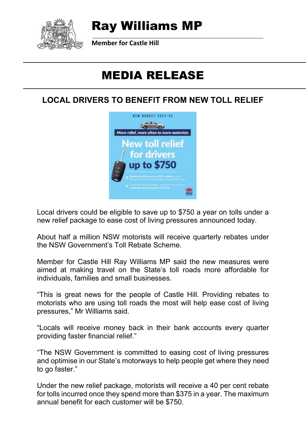

# Ray Williams MP

**Member for Castle Hill**

# MEDIA RELEASE

#### **LOCAL DRIVERS TO BENEFIT FROM NEW TOLL RELIEF**



Local drivers could be eligible to save up to \$750 a year on tolls under a new relief package to ease cost of living pressures announced today.

About half a million NSW motorists will receive quarterly rebates under the NSW Government's Toll Rebate Scheme.

Member for Castle Hill Ray Williams MP said the new measures were aimed at making travel on the State's toll roads more affordable for individuals, families and small businesses.

"This is great news for the people of Castle Hill. Providing rebates to motorists who are using toll roads the most will help ease cost of living pressures," Mr Williams said.

"Locals will receive money back in their bank accounts every quarter providing faster financial relief."

"The NSW Government is committed to easing cost of living pressures and optimise in our State's motorways to help people get where they need to go faster."

Under the new relief package, motorists will receive a 40 per cent rebate for tolls incurred once they spend more than \$375 in a year. The maximum annual benefit for each customer will be \$750.